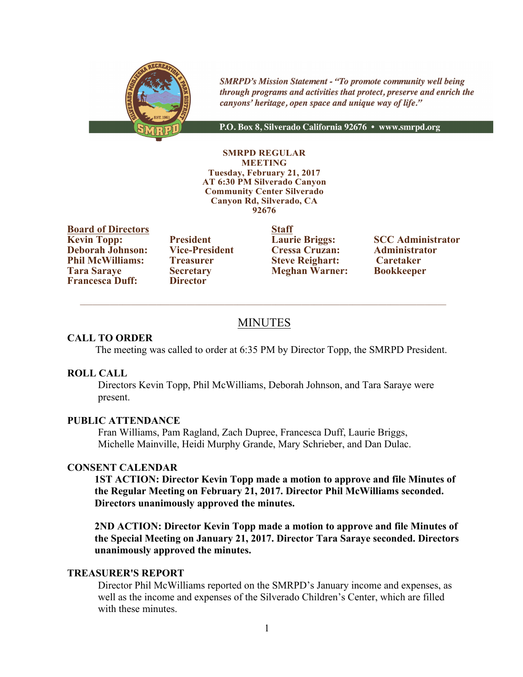

**SMRPD's Mission Statement - "To promote community well being** through programs and activities that protect, preserve and enrich the canyons' heritage, open space and unique way of life."

P.O. Box 8, Silverado California 92676 · www.smrpd.org

#### **SMRPD REGULAR MEETING Tuesday, February 21, 2017 AT 6:30 PM Silverado Canyon Community Center Silverado Canyon Rd, Silverado, CA 92676**

**Board of Directors Staff Kevin Topp: President Laurie Briggs: SCC Administrator Deborah Johnson: Vice-President Cressa Cruzan: Administrator Deborah Johnson: Vice-President Cressa Cruzan: Administrator Phil McWilliams: Treasurer Steve Reighart: Caretaker<br>
<b>Tara Sarave Secretary Meghan Warner: Bookkeeper Francesca Duff:** 

**Tara Saraye Secretary Meghan Warner: Bookkeeper**

# MINUTES

 $\_$  , and the state of the state of the state of the state of the state of the state of the state of the state of the state of the state of the state of the state of the state of the state of the state of the state of the

# **CALL TO ORDER**

The meeting was called to order at 6:35 PM by Director Topp, the SMRPD President.

#### **ROLL CALL**

Directors Kevin Topp, Phil McWilliams, Deborah Johnson, and Tara Saraye were present.

#### **PUBLIC ATTENDANCE**

Fran Williams, Pam Ragland, Zach Dupree, Francesca Duff, Laurie Briggs, Michelle Mainville, Heidi Murphy Grande, Mary Schrieber, and Dan Dulac.

#### **CONSENT CALENDAR**

**1ST ACTION: Director Kevin Topp made a motion to approve and file Minutes of the Regular Meeting on February 21, 2017. Director Phil McWilliams seconded. Directors unanimously approved the minutes.**

**2ND ACTION: Director Kevin Topp made a motion to approve and file Minutes of the Special Meeting on January 21, 2017. Director Tara Saraye seconded. Directors unanimously approved the minutes.** 

#### **TREASURER'S REPORT**

Director Phil McWilliams reported on the SMRPD's January income and expenses, as well as the income and expenses of the Silverado Children's Center, which are filled with these minutes.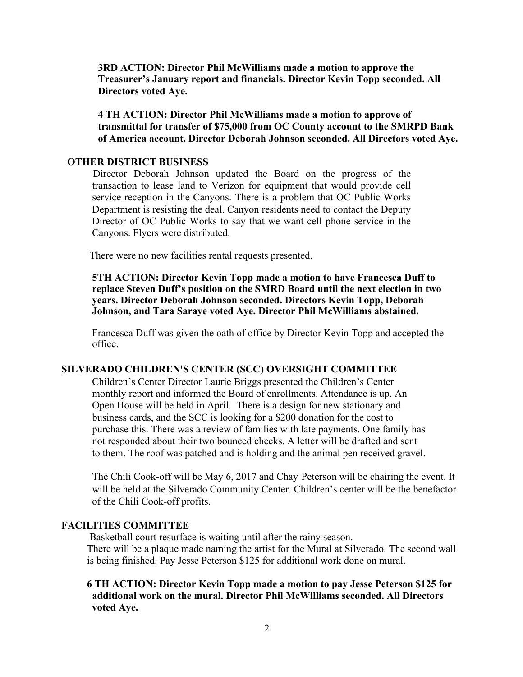**3RD ACTION: Director Phil McWilliams made a motion to approve the Treasurer's January report and financials. Director Kevin Topp seconded. All Directors voted Aye.**

**4 TH ACTION: Director Phil McWilliams made a motion to approve of transmittal for transfer of \$75,000 from OC County account to the SMRPD Bank of America account. Director Deborah Johnson seconded. All Directors voted Aye.**

## **OTHER DISTRICT BUSINESS**

Director Deborah Johnson updated the Board on the progress of the transaction to lease land to Verizon for equipment that would provide cell service reception in the Canyons. There is a problem that OC Public Works Department is resisting the deal. Canyon residents need to contact the Deputy Director of OC Public Works to say that we want cell phone service in the Canyons. Flyers were distributed.

There were no new facilities rental requests presented.

**5TH ACTION: Director Kevin Topp made a motion to have Francesca Duff to replace Steven Duff's position on the SMRD Board until the next election in two years. Director Deborah Johnson seconded. Directors Kevin Topp, Deborah Johnson, and Tara Saraye voted Aye. Director Phil McWilliams abstained.** 

Francesca Duff was given the oath of office by Director Kevin Topp and accepted the office.

### **SILVERADO CHILDREN'S CENTER (SCC) OVERSIGHT COMMITTEE**

Children's Center Director Laurie Briggs presented the Children's Center monthly report and informed the Board of enrollments. Attendance is up. An Open House will be held in April. There is a design for new stationary and business cards, and the SCC is looking for a \$200 donation for the cost to purchase this. There was a review of families with late payments. One family has not responded about their two bounced checks. A letter will be drafted and sent to them. The roof was patched and is holding and the animal pen received gravel.

The Chili Cook-off will be May 6, 2017 and Chay Peterson will be chairing the event. It will be held at the Silverado Community Center. Children's center will be the benefactor of the Chili Cook-off profits.

# **FACILITIES COMMITTEE**

 Basketball court resurface is waiting until after the rainy season. There will be a plaque made naming the artist for the Mural at Silverado. The second wall is being finished. Pay Jesse Peterson \$125 for additional work done on mural.

 **6 TH ACTION: Director Kevin Topp made a motion to pay Jesse Peterson \$125 for additional work on the mural. Director Phil McWilliams seconded. All Directors voted Aye.**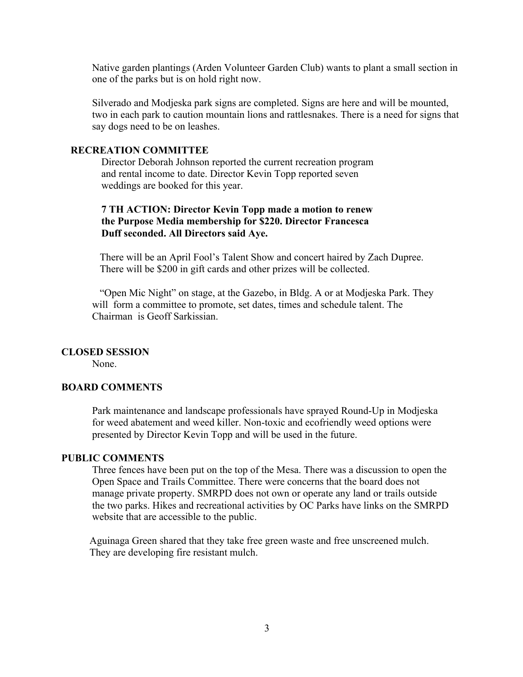Native garden plantings (Arden Volunteer Garden Club) wants to plant a small section in one of the parks but is on hold right now.

Silverado and Modjeska park signs are completed. Signs are here and will be mounted, two in each park to caution mountain lions and rattlesnakes. There is a need for signs that say dogs need to be on leashes.

# **RECREATION COMMITTEE**

Director Deborah Johnson reported the current recreation program and rental income to date. Director Kevin Topp reported seven weddings are booked for this year.

# **7 TH ACTION: Director Kevin Topp made a motion to renew the Purpose Media membership for \$220. Director Francesca Duff seconded. All Directors said Aye.**

 There will be an April Fool's Talent Show and concert haired by Zach Dupree. There will be \$200 in gift cards and other prizes will be collected.

 "Open Mic Night" on stage, at the Gazebo, in Bldg. A or at Modjeska Park. They will form a committee to promote, set dates, times and schedule talent. The Chairman is Geoff Sarkissian.

#### **CLOSED SESSION**

None.

# **BOARD COMMENTS**

Park maintenance and landscape professionals have sprayed Round-Up in Modjeska for weed abatement and weed killer. Non-toxic and ecofriendly weed options were presented by Director Kevin Topp and will be used in the future.

# **PUBLIC COMMENTS**

Three fences have been put on the top of the Mesa. There was a discussion to open the Open Space and Trails Committee. There were concerns that the board does not manage private property. SMRPD does not own or operate any land or trails outside the two parks. Hikes and recreational activities by OC Parks have links on the SMRPD website that are accessible to the public.

 Aguinaga Green shared that they take free green waste and free unscreened mulch. They are developing fire resistant mulch.